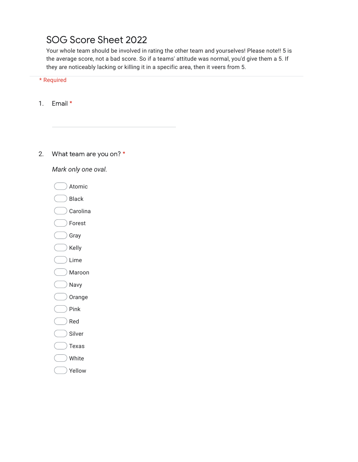# SOG Score Sheet 2022

Your whole team should be involved in rating the other team and yourselves! Please note!! 5 is the average score, not a bad score. So if a teams' attitude was normal, you'd give them a 5. If they are noticeably lacking or killing it in a specific area, then it veers from 5.

\* Required

1. Email \*

2. What team are you on? \*

*Mark only one oval.*

- Atomic
- Black
- Carolina
- Forest
- Gray
- $)$  Kelly
- Lime
- Maroon
- Navy
- Orange
- Pink
- $)$  Red
- Silver
- $)$  Texas
- White
- Yellow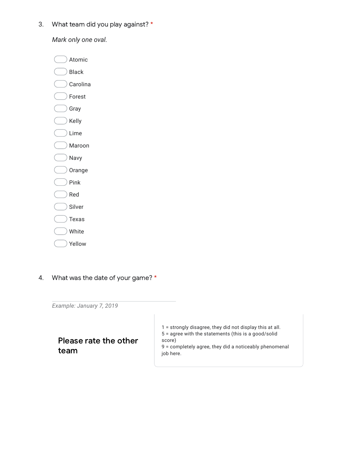3. What team did you play against? \*

*Mark only one oval.*

Atomic Black Carolina Forest Gray Kelly Lime Maroon Navy Orange Pink Red Silver Texas White Yellow

4. What was the date of your game? \*

*Example: January 7, 2019*

## Please rate the other team

 = strongly disagree, they did not display this at all. = agree with the statements (this is a good/solid score) = completely agree, they did a noticeably phenomenal

job here.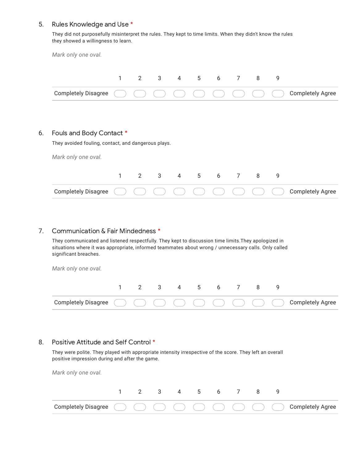#### 5. Rules Knowledge and Use \*

They did not purposefully misinterpret the rules. They kept to time limits. When they didn't know the rules they showed a willingness to learn.

|                                                                                                        | $\mathbf{1}$ | $2^{\circ}$ | $3^{\circ}$  | $\overline{4}$ | $5^{\circ}$ | 6 | 7 <sup>7</sup>  | 8 | 9 |                         |
|--------------------------------------------------------------------------------------------------------|--------------|-------------|--------------|----------------|-------------|---|-----------------|---|---|-------------------------|
| <b>Completely Disagree</b>                                                                             |              |             |              |                |             |   |                 |   |   | <b>Completely Agree</b> |
|                                                                                                        |              |             |              |                |             |   |                 |   |   |                         |
|                                                                                                        |              |             |              |                |             |   |                 |   |   |                         |
|                                                                                                        |              |             |              |                |             |   |                 |   |   |                         |
|                                                                                                        |              |             |              |                |             |   |                 |   |   |                         |
|                                                                                                        |              |             |              |                |             |   |                 |   |   |                         |
|                                                                                                        |              |             |              |                |             |   |                 |   |   |                         |
|                                                                                                        |              |             |              |                |             |   |                 |   |   |                         |
|                                                                                                        |              |             |              |                |             |   |                 |   |   |                         |
| Fouls and Body Contact *<br>They avoided fouling, contact, and dangerous plays.<br>Mark only one oval. | $\mathbf{1}$ | $2^{\circ}$ | $\mathbf{3}$ | $\overline{4}$ | 5           | 6 | $7\overline{ }$ | 8 | 9 |                         |

#### 7. Communication & Fair Mindedness \*

They communicated and listened respectfully. They kept to discussion time limits.They apologized in situations where it was appropriate, informed teammates about wrong / unnecessary calls. Only called significant breaches.

*Mark only one oval.*

6.

#### 8. Positive Attitude and Self Control \*

They were polite. They played with appropriate intensity irrespective of the score. They left an overall positive impression during and after the game.

*Mark only one oval.*

|                                                                          |  |  | 4 5 |  |  |  |
|--------------------------------------------------------------------------|--|--|-----|--|--|--|
| Completely Disagree ( ) ( ) ( ) ( ) ( ) ( ) ( ) ( ) ( ) Completely Agree |  |  |     |  |  |  |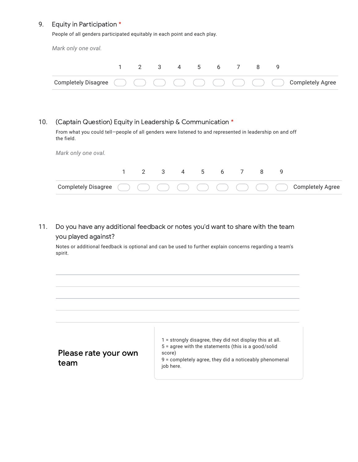#### 9. Equity in Participation \*

People of all genders participated equitably in each point and each play.

*Mark only one oval.*

|                                                                                                                                                                                                                                                                                                                                                                                                 |  |  | 4 5 |  |  |  |
|-------------------------------------------------------------------------------------------------------------------------------------------------------------------------------------------------------------------------------------------------------------------------------------------------------------------------------------------------------------------------------------------------|--|--|-----|--|--|--|
| Completely Disagree $\begin{pmatrix} 1 & 1 \\ 1 & 1 \end{pmatrix}$ $\begin{pmatrix} 1 & 1 \\ 1 & 1 \end{pmatrix}$ $\begin{pmatrix} 1 & 1 \\ 1 & 1 \end{pmatrix}$ $\begin{pmatrix} 1 & 1 \\ 1 & 1 \end{pmatrix}$ $\begin{pmatrix} 1 & 1 \\ 1 & 1 \end{pmatrix}$ $\begin{pmatrix} 1 & 1 \\ 1 & 1 \end{pmatrix}$ $\begin{pmatrix} 1 & 1 \\ 1 & 1 \end{pmatrix}$ $\begin{pmatrix} 1 & 1 \\ 1 & 1 \$ |  |  |     |  |  |  |

#### 10. (Captain Question) Equity in Leadership & Communication \*

From what you could tell—people of all genders were listened to and represented in leadership on and off the field.

*Mark only one oval.*

11. Do you have any additional feedback or notes you'd want to share with the team you played against?

Notes or additional feedback is optional and can be used to further explain concerns regarding a team's spirit.

| Please rate your own |  |
|----------------------|--|
| team                 |  |

1 = strongly disagree, they did not display this at all. 5 = agree with the statements (this is a good/solid score)

9 = completely agree, they did a noticeably phenomenal job here.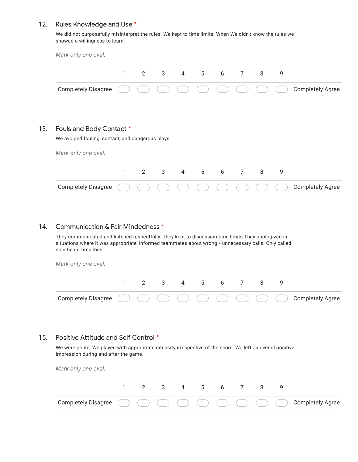#### 12. Rules Knowledge and Use \*

We did not purposefully misinterpret the rules. We kept to time limits. When We didn't know the rules we showed a willingness to learn.

| Mark only one oval.                               |              |               |  |  |   |                         |
|---------------------------------------------------|--------------|---------------|--|--|---|-------------------------|
|                                                   | $\mathbf{1}$ | 2 3 4 5 6 7 8 |  |  | 9 |                         |
| <b>Completely Disagree</b>                        |              |               |  |  |   | <b>Completely Agree</b> |
|                                                   |              |               |  |  |   |                         |
| Fouls and Body Contact *                          |              |               |  |  |   |                         |
| We avoided fouling, contact, and dangerous plays. |              |               |  |  |   |                         |
| Mark only one oval.                               |              |               |  |  |   |                         |

| Completely Disagree ( ) ( ) ( ) ( ) ( ) ( ) ( ) ( ) ( ) Completely Agree |  |  |  |  |  |
|--------------------------------------------------------------------------|--|--|--|--|--|

#### 14. Communication & Fair Mindedness \*

They communicated and listened respectfully. They kept to discussion time limits.They apologized in situations where it was appropriate, informed teammates about wrong / unnecessary calls. Only called significant breaches.

*Mark only one oval.*

13.

| Completely Disagree ( ) ( ) ( ) ( ) ( ) ( ) ( ) ( ) ( ) Completely Agree |  |  |  |  |  |
|--------------------------------------------------------------------------|--|--|--|--|--|

#### 15. Positive Attitude and Self Control \*

We were polite. We played with appropriate intensity irrespective of the score. We left an overall positive impression during and after the game.

*Mark only one oval.*

|                                                                          |  |  | 4 5 |  |  |  |
|--------------------------------------------------------------------------|--|--|-----|--|--|--|
| Completely Disagree ( ) ( ) ( ) ( ) ( ) ( ) ( ) ( ) ( ) Completely Agree |  |  |     |  |  |  |